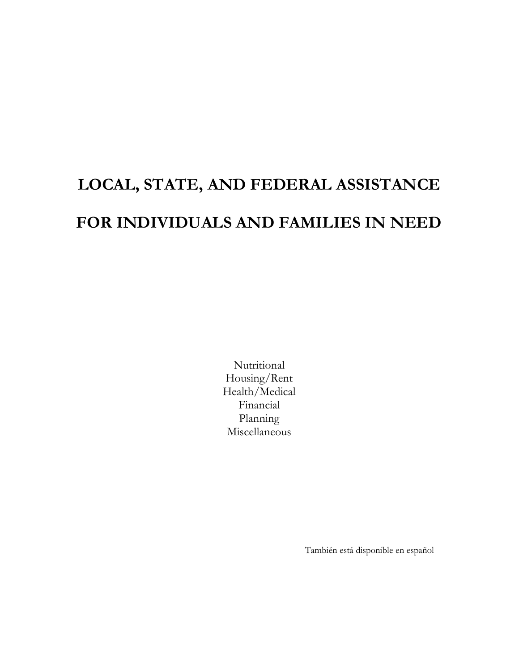# **LOCAL, STATE, AND FEDERAL ASSISTANCE FOR INDIVIDUALS AND FAMILIES IN NEED**

Nutritional Housing/Rent Health/Medical Financial Planning Miscellaneous

También está disponible en español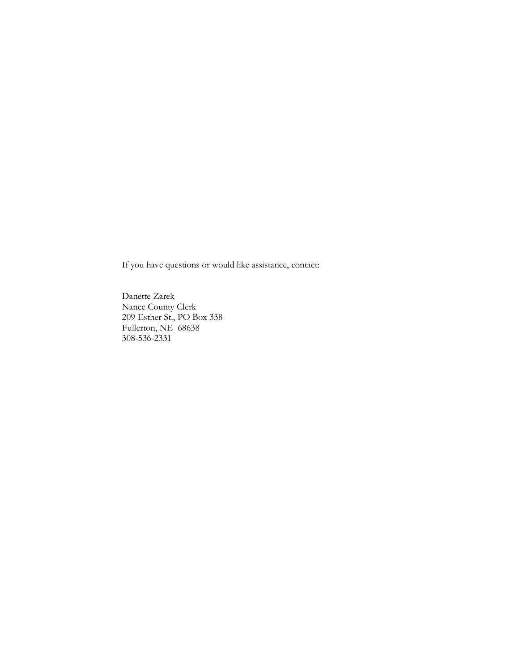If you have questions or would like assistance, contact:

Danette Zarek Nance County Clerk 209 Esther St., PO Box 338 Fullerton, NE 68638 308-536-2331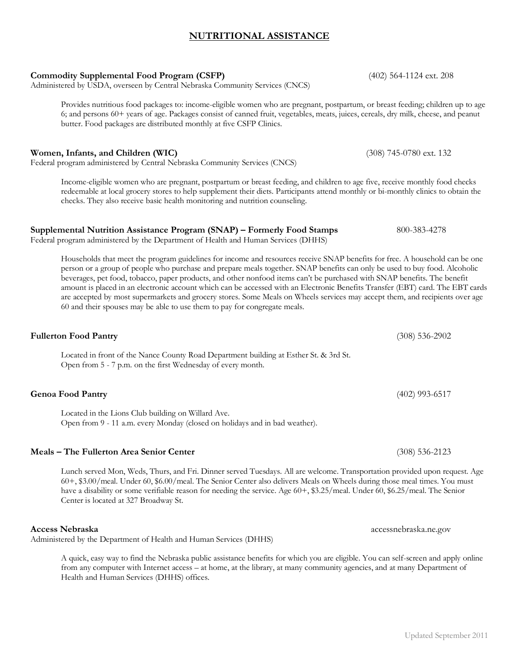# **NUTRITIONAL ASSISTANCE**

**Commodity Supplemental Food Program (CSFP)** (402) 564-1124 ext. 208 Administered by USDA, overseen by Central Nebraska Community Services (CNCS)

Provides nutritious food packages to: income-eligible women who are pregnant, postpartum, or breast feeding; children up to age 6; and persons 60+ years of age. Packages consist of canned fruit, vegetables, meats, juices, cereals, dry milk, cheese, and peanut butter. Food packages are distributed monthly at five CSFP Clinics.

#### **Women, Infants, and Children (WIC)** (308) 745-0780 ext. 132

Federal program administered by Central Nebraska Community Services (CNCS)

Income-eligible women who are pregnant, postpartum or breast feeding, and children to age five, receive monthly food checks redeemable at local grocery stores to help supplement their diets. Participants attend monthly or bi-monthly clinics to obtain the checks. They also receive basic health monitoring and nutrition counseling.

#### **Supplemental Nutrition Assistance Program (SNAP) – Formerly Food Stamps** 800-383-4278

Federal program administered by the Department of Health and Human Services (DHHS)

Households that meet the program guidelines for income and resources receive SNAP benefits for free. A household can be one person or a group of people who purchase and prepare meals together. SNAP benefits can only be used to buy food. Alcoholic beverages, pet food, tobacco, paper products, and other nonfood items can't be purchased with SNAP benefits. The benefit amount is placed in an electronic account which can be accessed with an Electronic Benefits Transfer (EBT) card. The EBT cards are accepted by most supermarkets and grocery stores. Some Meals on Wheels services may accept them, and recipients over age 60 and their spouses may be able to use them to pay for congregate meals.

Located in front of the Nance County Road Department building at Esther St. & 3rd St. Open from 5 - 7 p.m. on the first Wednesday of every month.

Located in the Lions Club building on Willard Ave. Open from 9 - 11 a.m. every Monday (closed on holidays and in bad weather).

#### **Meals – The Fullerton Area Senior Center** (308) 536-2123

Lunch served Mon, Weds, Thurs, and Fri. Dinner served Tuesdays. All are welcome. Transportation provided upon request. Age 60+, \$3.00/meal. Under 60, \$6.00/meal. The Senior Center also delivers Meals on Wheels during those meal times. You must have a disability or some verifiable reason for needing the service. Age 60+, \$3.25/meal. Under 60, \$6.25/meal. The Senior Center is located at 327 Broadway St.

Administered by the Department of Health and Human Services (DHHS)

A quick, easy way to find the Nebraska public assistance benefits for which you are eligible. You can self-screen and apply online from any computer with Internet access – at home, at the library, at many community agencies, and at many Department of Health and Human Services (DHHS) offices.

**Genoa Food Pantry** (402) 993-6517

**Fullerton Food Pantry** (308) 536-2902

**Access Nebraska** accessnebraska.ne.gov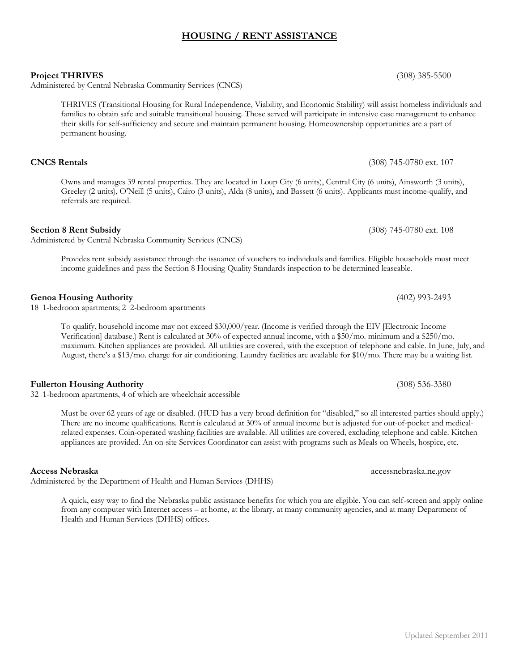# **HOUSING / RENT ASSISTANCE**

**Project THRIVES** (308) 385-5500

Administered by Central Nebraska Community Services (CNCS)

THRIVES (Transitional Housing for Rural Independence, Viability, and Economic Stability) will assist homeless individuals and families to obtain safe and suitable transitional housing. Those served will participate in intensive case management to enhance their skills for self-sufficiency and secure and maintain permanent housing. Homeownership opportunities are a part of permanent housing.

Owns and manages 39 rental properties. They are located in Loup City (6 units), Central City (6 units), Ainsworth (3 units), Greeley (2 units), O'Neill (5 units), Cairo (3 units), Alda (8 units), and Bassett (6 units). Applicants must income-qualify, and

income guidelines and pass the Section 8 Housing Quality Standards inspection to be determined leaseable.

**Section 8 Rent Subsidy** (308) 745-0780 ext. 108

Provides rent subsidy assistance through the issuance of vouchers to individuals and families. Eligible households must meet

**Genoa Housing Authority** (402) 993-2493

**Access Nebraska** accessnebraska.ne.gov

To qualify, household income may not exceed \$30,000/year. (Income is verified through the EIV [Electronic Income Verification] database.) Rent is calculated at 30% of expected annual income, with a \$50/mo. minimum and a \$250/mo. maximum. Kitchen appliances are provided. All utilities are covered, with the exception of telephone and cable. In June, July, and August, there's a \$13/mo. charge for air conditioning. Laundry facilities are available for \$10/mo. There may be a waiting list.

Must be over 62 years of age or disabled. (HUD has a very broad definition for "disabled," so all interested parties should apply.) There are no income qualifications. Rent is calculated at 30% of annual income but is adjusted for out-of-pocket and medicalrelated expenses. Coin-operated washing facilities are available. All utilities are covered, excluding telephone and cable. Kitchen appliances are provided. An on-site Services Coordinator can assist with programs such as Meals on Wheels, hospice, etc.

Administered by the Department of Health and Human Services (DHHS)

A quick, easy way to find the Nebraska public assistance benefits for which you are eligible. You can self-screen and apply online from any computer with Internet access – at home, at the library, at many community agencies, and at many Department of Health and Human Services (DHHS) offices.

**CNCS Rentals** (308) 745-0780 ext. 107

Administered by Central Nebraska Community Services (CNCS)

referrals are required.

18 1-bedroom apartments; 2 2-bedroom apartments

**Fullerton Housing Authority** (308) 536-3380

32 1-bedroom apartments, 4 of which are wheelchair accessible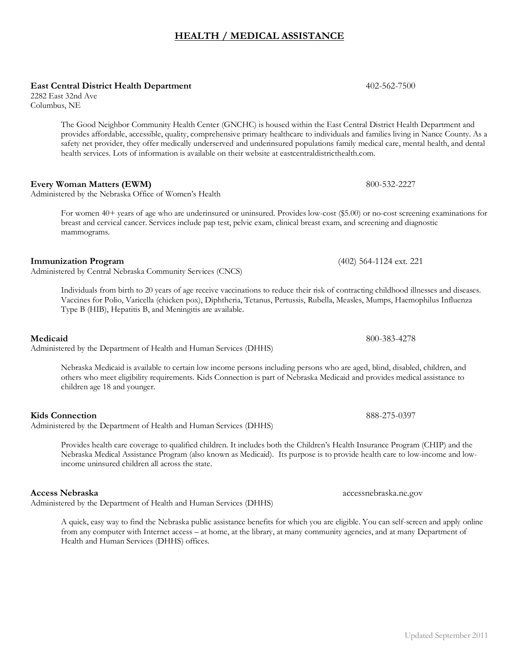# **HEALTH / MEDICAL ASSISTANCE**

**East Central District Health Department** 402-562-7500

2282 East 32nd Ave Columbus, NE

> The Good Neighbor Community Health Center (GNCHC) is housed within the East Central District Health Department and provides affordable, accessible, quality, comprehensive primary healthcare to individuals and families living in Nance County. As a safety net provider, they offer medically underserved and underinsured populations family medical care, mental health, and dental health services. Lots of information is available on their website at eastcentraldistricthealth.com.

# **Every Woman Matters (EWM)** 800-532-2227

Administered by the Nebraska Office of Women's Health

For women 40+ years of age who are underinsured or uninsured. Provides low-cost (\$5.00) or no-cost screening examinations for breast and cervical cancer. Services include pap test, pelvic exam, clinical breast exam, and screening and diagnostic mammograms.

# **Immunization Program** (402) 564-1124 ext. 221

Administered by Central Nebraska Community Services (CNCS)

Individuals from birth to 20 years of age receive vaccinations to reduce their risk of contracting childhood illnesses and diseases. Vaccines for Polio, Varicella (chicken pox), Diphtheria, Tetanus, Pertussis, Rubella, Measles, Mumps, Haemophilus Influenza Type B (HIB), Hepatitis B, and Meningitis are available.

Administered by the Department of Health and Human Services (DHHS)

**Medicaid** 800-383-4278

Nebraska Medicaid is available to certain low income persons including persons who are aged, blind, disabled, children, and others who meet eligibility requirements. Kids Connection is part of Nebraska Medicaid and provides medical assistance to children age 18 and younger.

Administered by the Department of Health and Human Services (DHHS)

Provides health care coverage to qualified children. It includes both the Children's Health Insurance Program (CHIP) and the Nebraska Medical Assistance Program (also known as Medicaid). Its purpose is to provide health care to low-income and lowincome uninsured children all across the state.

Administered by the Department of Health and Human Services (DHHS)

A quick, easy way to find the Nebraska public assistance benefits for which you are eligible. You can self-screen and apply online from any computer with Internet access – at home, at the library, at many community agencies, and at many Department of Health and Human Services (DHHS) offices.

**Kids Connection** 888-275-0397

**Access Nebraska** accessnebraska.ne.gov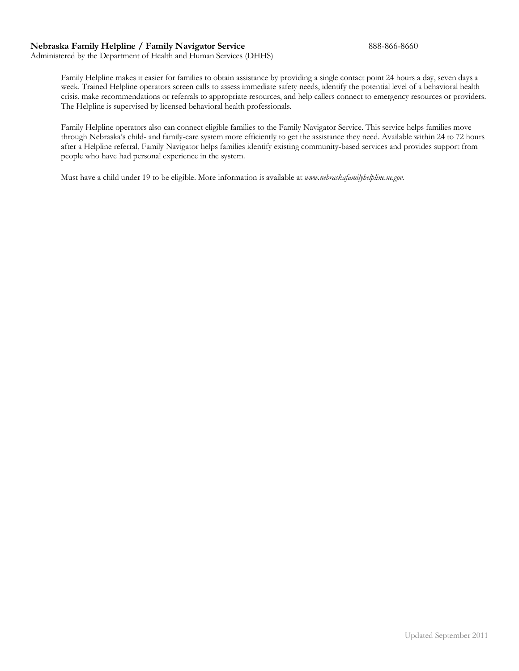#### **Nebraska Family Helpline / Family Navigator Service** 888-866-8660

Administered by the Department of Health and Human Services (DHHS)

Family Helpline makes it easier for families to obtain assistance by providing a single contact point 24 hours a day, seven days a week. Trained Helpline operators screen calls to assess immediate safety needs, identify the potential level of a behavioral health crisis, make recommendations or referrals to appropriate resources, and help callers connect to emergency resources or providers. The Helpline is supervised by licensed behavioral health professionals.

Family Helpline operators also can connect eligible families to the Family Navigator Service. This service helps families move through Nebraska's child- and family-care system more efficiently to get the assistance they need. Available within 24 to 72 hours after a Helpline referral, Family Navigator helps families identify existing community-based services and provides support from people who have had personal experience in the system.

Must have a child under 19 to be eligible. More information is available at *www.nebraskafamilyhelpline.ne.gov.*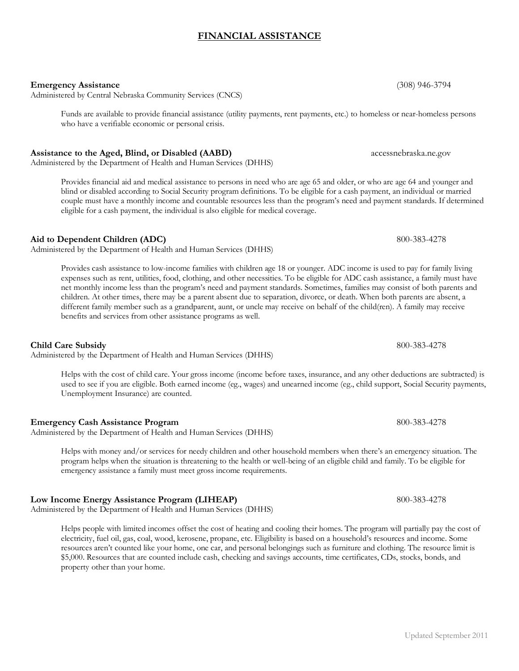## **FINANCIAL ASSISTANCE**

#### **Emergency Assistance** (308) 946-3794

Administered by Central Nebraska Community Services (CNCS)

Funds are available to provide financial assistance (utility payments, rent payments, etc.) to homeless or near-homeless persons who have a verifiable economic or personal crisis.

# **Assistance to the Aged, Blind, or Disabled (AABD)** accessnebraska.ne.gov

Administered by the Department of Health and Human Services (DHHS)

Provides financial aid and medical assistance to persons in need who are age 65 and older, or who are age 64 and younger and blind or disabled according to Social Security program definitions. To be eligible for a cash payment, an individual or married couple must have a monthly income and countable resources less than the program's need and payment standards. If determined eligible for a cash payment, the individual is also eligible for medical coverage.

Administered by the Department of Health and Human Services (DHHS)

Provides cash assistance to low-income families with children age 18 or younger. ADC income is used to pay for family living expenses such as rent, utilities, food, clothing, and other necessities. To be eligible for ADC cash assistance, a family must have net monthly income less than the program's need and payment standards. Sometimes, families may consist of both parents and children. At other times, there may be a parent absent due to separation, divorce, or death. When both parents are absent, a different family member such as a grandparent, aunt, or uncle may receive on behalf of the child(ren). A family may receive benefits and services from other assistance programs as well.

Administered by the Department of Health and Human Services (DHHS)

Helps with the cost of child care. Your gross income (income before taxes, insurance, and any other deductions are subtracted) is used to see if you are eligible. Both earned income (eg., wages) and unearned income (eg., child support, Social Security payments, Unemployment Insurance) are counted.

## **Emergency Cash Assistance Program** 800-383-4278

Administered by the Department of Health and Human Services (DHHS)

Helps with money and/or services for needy children and other household members when there's an emergency situation. The program helps when the situation is threatening to the health or well-being of an eligible child and family. To be eligible for emergency assistance a family must meet gross income requirements.

# **Low Income Energy Assistance Program (LIHEAP)** 800-383-4278

Administered by the Department of Health and Human Services (DHHS)

Helps people with limited incomes offset the cost of heating and cooling their homes. The program will partially pay the cost of electricity, fuel oil, gas, coal, wood, kerosene, propane, etc. Eligibility is based on a household's resources and income. Some resources aren't counted like your home, one car, and personal belongings such as furniture and clothing. The resource limit is \$5,000. Resources that are counted include cash, checking and savings accounts, time certificates, CDs, stocks, bonds, and property other than your home.

**Aid to Dependent Children (ADC)** 800-383-4278

**Child Care Subsidy** 800-383-4278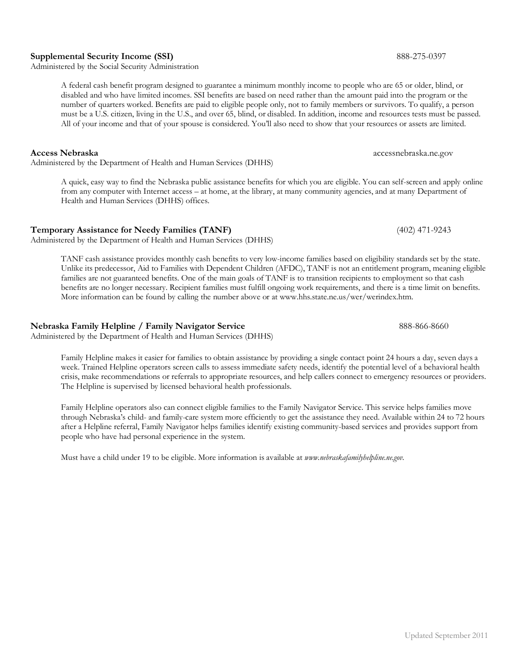#### **Supplemental Security Income (SSI)** 888-275-0397

Administered by the Social Security Administration

A federal cash benefit program designed to guarantee a minimum monthly income to people who are 65 or older, blind, or disabled and who have limited incomes. SSI benefits are based on need rather than the amount paid into the program or the number of quarters worked. Benefits are paid to eligible people only, not to family members or survivors. To qualify, a person must be a U.S. citizen, living in the U.S., and over 65, blind, or disabled. In addition, income and resources tests must be passed. All of your income and that of your spouse is considered. You'll also need to show that your resources or assets are limited.

**Access Nebraska** accessnebraska.ne.gov Administered by the Department of Health and Human Services (DHHS)

A quick, easy way to find the Nebraska public assistance benefits for which you are eligible. You can self-screen and apply online from any computer with Internet access – at home, at the library, at many community agencies, and at many Department of Health and Human Services (DHHS) offices.

# **Temporary Assistance for Needy Families (TANF)** (402) 471-9243

Administered by the Department of Health and Human Services (DHHS)

TANF cash assistance provides monthly cash benefits to very low-income families based on eligibility standards set by the state. Unlike its predecessor, Aid to Families with Dependent Children (AFDC), TANF is not an entitlement program, meaning eligible families are not guaranteed benefits. One of the main goals of TANF is to transition recipients to employment so that cash benefits are no longer necessary. Recipient families must fulfill ongoing work requirements, and there is a time limit on benefits. More information can be found by calling the number above or at www.hhs.state.ne.us/wer/werindex.htm.

# **Nebraska Family Helpline / Family Navigator Service** 888-866-8660

Administered by the Department of Health and Human Services (DHHS)

Family Helpline makes it easier for families to obtain assistance by providing a single contact point 24 hours a day, seven days a week. Trained Helpline operators screen calls to assess immediate safety needs, identify the potential level of a behavioral health crisis, make recommendations or referrals to appropriate resources, and help callers connect to emergency resources or providers. The Helpline is supervised by licensed behavioral health professionals.

Family Helpline operators also can connect eligible families to the Family Navigator Service. This service helps families move through Nebraska's child- and family-care system more efficiently to get the assistance they need. Available within 24 to 72 hours after a Helpline referral, Family Navigator helps families identify existing community-based services and provides support from people who have had personal experience in the system.

Must have a child under 19 to be eligible. More information is available at *www.nebraskafamilyhelpline.ne.gov.*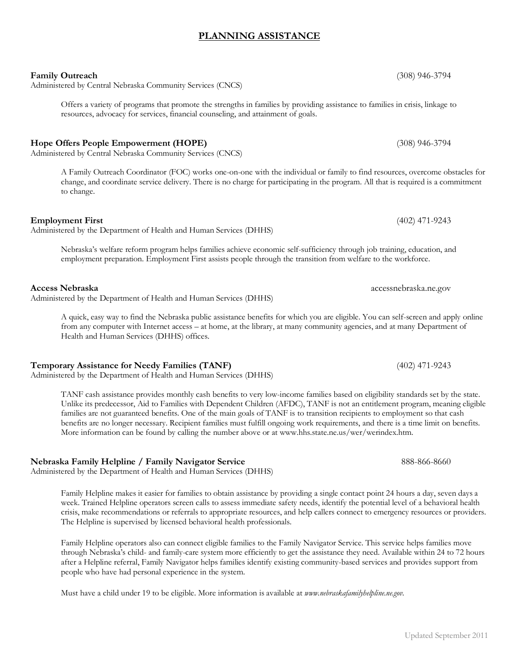# **PLANNING ASSISTANCE**

#### **Family Outreach** (308) 946-3794

Administered by Central Nebraska Community Services (CNCS)

Offers a variety of programs that promote the strengths in families by providing assistance to families in crisis, linkage to resources, advocacy for services, financial counseling, and attainment of goals.

#### **Hope Offers People Empowerment (HOPE)** (308) 946-3794

Administered by Central Nebraska Community Services (CNCS)

A Family Outreach Coordinator (FOC) works one-on-one with the individual or family to find resources, overcome obstacles for change, and coordinate service delivery. There is no charge for participating in the program. All that is required is a commitment to change.

Administered by the Department of Health and Human Services (DHHS)

Nebraska's welfare reform program helps families achieve economic self-sufficiency through job training, education, and employment preparation. Employment First assists people through the transition from welfare to the workforce.

Administered by the Department of Health and Human Services (DHHS)

A quick, easy way to find the Nebraska public assistance benefits for which you are eligible. You can self-screen and apply online from any computer with Internet access – at home, at the library, at many community agencies, and at many Department of Health and Human Services (DHHS) offices.

#### **Temporary Assistance for Needy Families (TANF)** (402) 471-9243

Administered by the Department of Health and Human Services (DHHS)

TANF cash assistance provides monthly cash benefits to very low-income families based on eligibility standards set by the state. Unlike its predecessor, Aid to Families with Dependent Children (AFDC), TANF is not an entitlement program, meaning eligible families are not guaranteed benefits. One of the main goals of TANF is to transition recipients to employment so that cash benefits are no longer necessary. Recipient families must fulfill ongoing work requirements, and there is a time limit on benefits. More information can be found by calling the number above or at www.hhs.state.ne.us/wer/werindex.htm.

#### **Nebraska Family Helpline / Family Navigator Service** 888-866-8660

Administered by the Department of Health and Human Services (DHHS)

Family Helpline makes it easier for families to obtain assistance by providing a single contact point 24 hours a day, seven days a week. Trained Helpline operators screen calls to assess immediate safety needs, identify the potential level of a behavioral health crisis, make recommendations or referrals to appropriate resources, and help callers connect to emergency resources or providers. The Helpline is supervised by licensed behavioral health professionals.

Family Helpline operators also can connect eligible families to the Family Navigator Service. This service helps families move through Nebraska's child- and family-care system more efficiently to get the assistance they need. Available within 24 to 72 hours after a Helpline referral, Family Navigator helps families identify existing community-based services and provides support from people who have had personal experience in the system.

Must have a child under 19 to be eligible. More information is available at *www.nebraskafamilyhelpline.ne.gov.*

**Employment First** (402) 471-9243

**Access Nebraska** accessnebraska.ne.gov